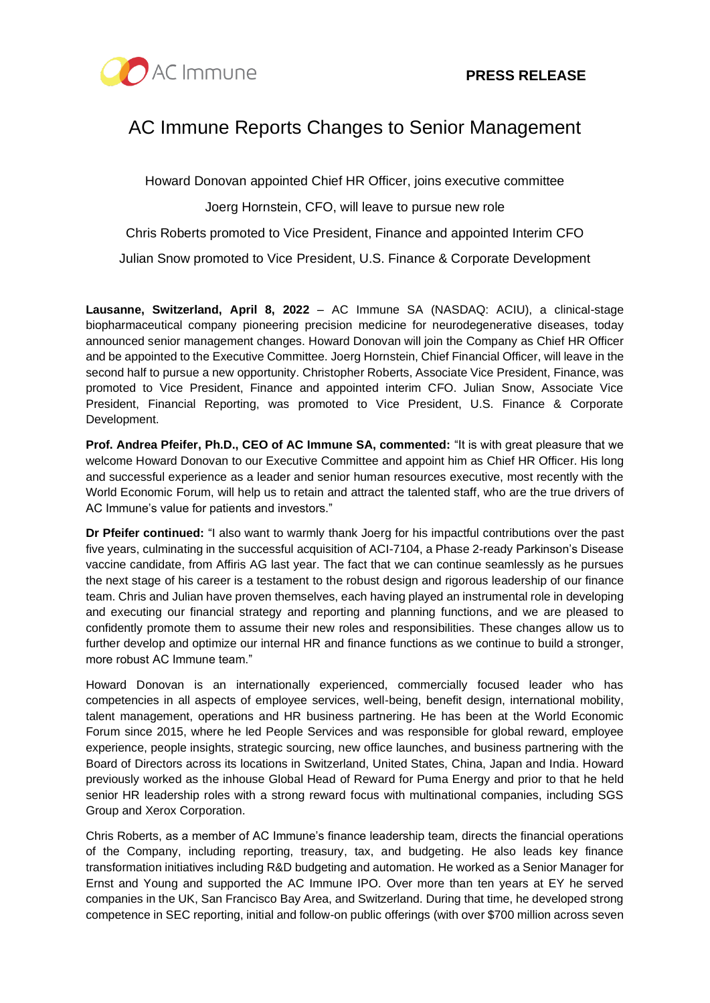

# AC Immune Reports Changes to Senior Management

Howard Donovan appointed Chief HR Officer, joins executive committee

Joerg Hornstein, CFO, will leave to pursue new role

Chris Roberts promoted to Vice President, Finance and appointed Interim CFO

Julian Snow promoted to Vice President, U.S. Finance & Corporate Development

**Lausanne, Switzerland, April 8, 2022** – AC Immune SA (NASDAQ: ACIU), a clinical-stage biopharmaceutical company pioneering precision medicine for neurodegenerative diseases, today announced senior management changes. Howard Donovan will join the Company as Chief HR Officer and be appointed to the Executive Committee. Joerg Hornstein, Chief Financial Officer, will leave in the second half to pursue a new opportunity. Christopher Roberts, Associate Vice President, Finance, was promoted to Vice President, Finance and appointed interim CFO. Julian Snow, Associate Vice President, Financial Reporting, was promoted to Vice President, U.S. Finance & Corporate Development.

**Prof. Andrea Pfeifer, Ph.D., CEO of AC Immune SA, commented:** "It is with great pleasure that we welcome Howard Donovan to our Executive Committee and appoint him as Chief HR Officer. His long and successful experience as a leader and senior human resources executive, most recently with the World Economic Forum, will help us to retain and attract the talented staff, who are the true drivers of AC Immune's value for patients and investors."

**Dr Pfeifer continued:** "I also want to warmly thank Joerg for his impactful contributions over the past five years, culminating in the successful acquisition of ACI-7104, a Phase 2-ready Parkinson's Disease vaccine candidate, from Affiris AG last year. The fact that we can continue seamlessly as he pursues the next stage of his career is a testament to the robust design and rigorous leadership of our finance team. Chris and Julian have proven themselves, each having played an instrumental role in developing and executing our financial strategy and reporting and planning functions, and we are pleased to confidently promote them to assume their new roles and responsibilities. These changes allow us to further develop and optimize our internal HR and finance functions as we continue to build a stronger, more robust AC Immune team."

Howard Donovan is an internationally experienced, commercially focused leader who has competencies in all aspects of employee services, well-being, benefit design, international mobility, talent management, operations and HR business partnering. He has been at the World Economic Forum since 2015, where he led People Services and was responsible for global reward, employee experience, people insights, strategic sourcing, new office launches, and business partnering with the Board of Directors across its locations in Switzerland, United States, China, Japan and India. Howard previously worked as the inhouse Global Head of Reward for Puma Energy and prior to that he held senior HR leadership roles with a strong reward focus with multinational companies, including SGS Group and Xerox Corporation.

Chris Roberts, as a member of AC Immune's finance leadership team, directs the financial operations of the Company, including reporting, treasury, tax, and budgeting. He also leads key finance transformation initiatives including R&D budgeting and automation. He worked as a Senior Manager for Ernst and Young and supported the AC Immune IPO. Over more than ten years at EY he served companies in the UK, San Francisco Bay Area, and Switzerland. During that time, he developed strong competence in SEC reporting, initial and follow-on public offerings (with over \$700 million across seven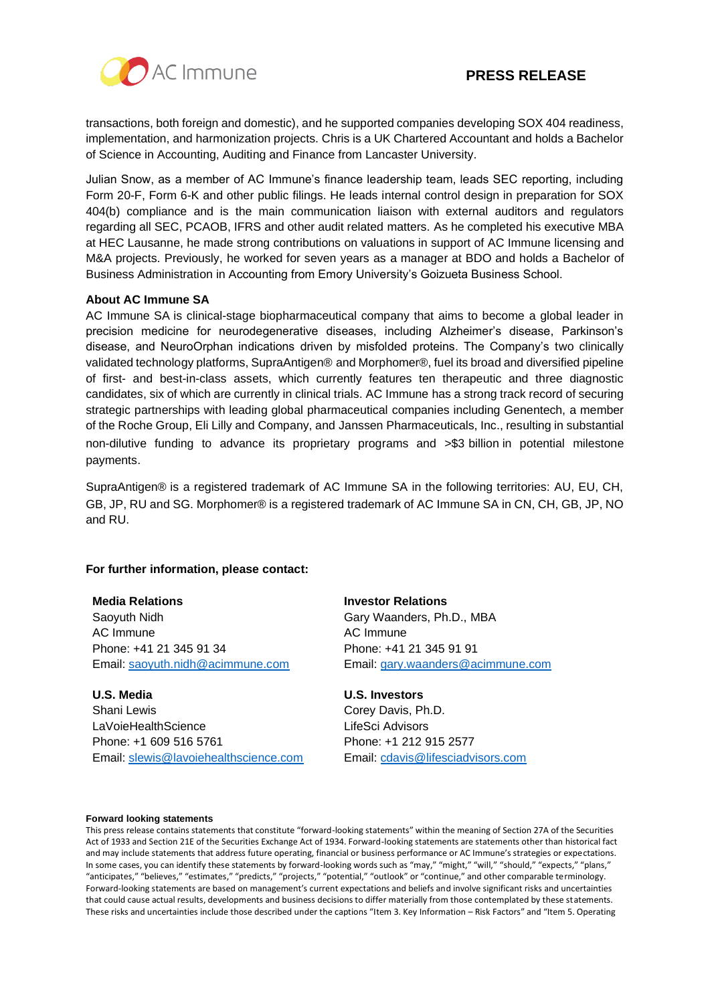

transactions, both foreign and domestic), and he supported companies developing SOX 404 readiness, implementation, and harmonization projects. Chris is a UK Chartered Accountant and holds a Bachelor of Science in Accounting, Auditing and Finance from Lancaster University.

Julian Snow, as a member of AC Immune's finance leadership team, leads SEC reporting, including Form 20-F, Form 6-K and other public filings. He leads internal control design in preparation for SOX 404(b) compliance and is the main communication liaison with external auditors and regulators regarding all SEC, PCAOB, IFRS and other audit related matters. As he completed his executive MBA at HEC Lausanne, he made strong contributions on valuations in support of AC Immune licensing and M&A projects. Previously, he worked for seven years as a manager at BDO and holds a Bachelor of Business Administration in Accounting from Emory University's Goizueta Business School.

#### **About AC Immune SA**

AC Immune SA is clinical-stage biopharmaceutical company that aims to become a global leader in precision medicine for neurodegenerative diseases, including Alzheimer's disease, Parkinson's disease, and NeuroOrphan indications driven by misfolded proteins. The Company's two clinically validated technology platforms, SupraAntigen® and Morphomer®, fuel its broad and diversified pipeline of first- and best-in-class assets, which currently features ten therapeutic and three diagnostic candidates, six of which are currently in clinical trials. AC Immune has a strong track record of securing strategic partnerships with leading global pharmaceutical companies including Genentech, a member of the Roche Group, Eli Lilly and Company, and Janssen Pharmaceuticals, Inc., resulting in substantial non-dilutive funding to advance its proprietary programs and >\$3 billion in potential milestone payments.

SupraAntigen® is a registered trademark of AC Immune SA in the following territories: AU, EU, CH, GB, JP, RU and SG. Morphomer® is a registered trademark of AC Immune SA in CN, CH, GB, JP, NO and RU.

### **For further information, please contact:**

#### **Media Relations**

Saoyuth Nidh AC Immune Phone: +41 21 345 91 34 Email: [saoyuth.nidh@acimmune.com](mailto:saoyuth.nidh@acimmune.com)

**U.S. Media** Shani Lewis LaVoieHealthScience Phone: +1 609 516 5761 Email: [slewis@lavoiehealthscience.com](mailto:slewis@lavoiehealthscience.com) **Investor Relations** Gary Waanders, Ph.D., MBA AC Immune Phone: +41 21 345 91 91 Email: [gary.waanders@acimmune.com](mailto:gary.waanders@acimmune.com)

#### **U.S. Investors**

Corey Davis, Ph.D. LifeSci Advisors Phone: +1 212 915 2577 Email: [cdavis@lifesciadvisors.com](mailto:cdavis@lifesciadvisors.com)

#### **Forward looking statements**

This press release contains statements that constitute "forward-looking statements" within the meaning of Section 27A of the Securities Act of 1933 and Section 21E of the Securities Exchange Act of 1934. Forward-looking statements are statements other than historical fact and may include statements that address future operating, financial or business performance or AC Immune's strategies or expectations. In some cases, you can identify these statements by forward-looking words such as "may," "might," "will," "should," "expects," "plans," "anticipates," "believes," "estimates," "predicts," "projects," "potential," "outlook" or "continue," and other comparable terminology. Forward-looking statements are based on management's current expectations and beliefs and involve significant risks and uncertainties that could cause actual results, developments and business decisions to differ materially from those contemplated by these statements. These risks and uncertainties include those described under the captions "Item 3. Key Information – Risk Factors" and "Item 5. Operating